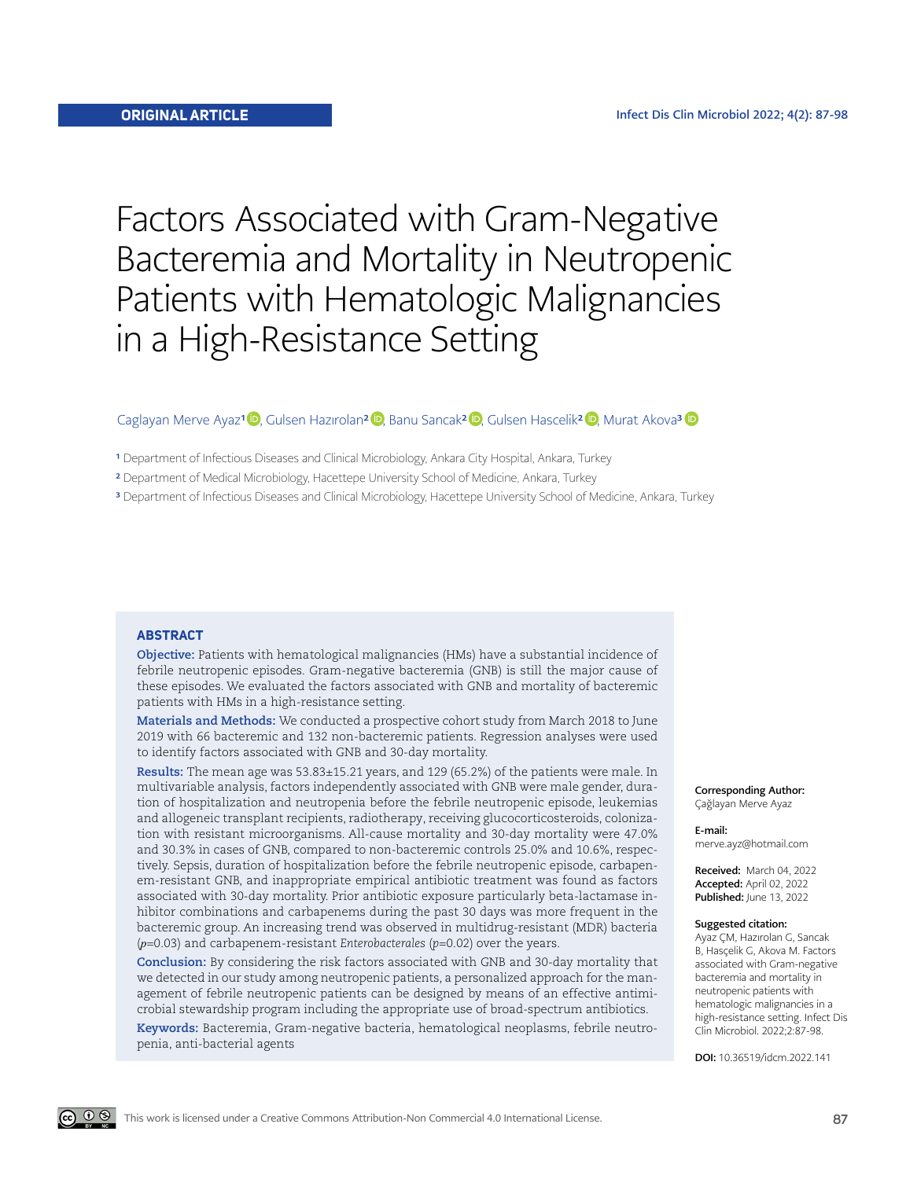# Factors Associated with Gram-Negative Bacteremia and Mortality in Neutropenic Patients with Hematologic Malignancies in a High-Resistance Setting

#### CaglayanMerve Ayaz<sup>1 (D</sup>, Gulsen Hazırolan<sup>2 (D</sup>, Banu Sancak<sup>2 (D</sup>, Gulsen Hascelik<sup>2 (D</sup>, Murat Akova<sup>3</sup> (D

<sup>1</sup> Department of Infectious Diseases and Clinical Microbiology, Ankara City Hospital, Ankara, Turkey

2 Department of Medical Microbiology, Hacettepe University School of Medicine, Ankara, Turkey

<sup>3</sup> Department of Infectious Diseases and Clinical Microbiology, Hacettepe University School of Medicine, Ankara, Turkey

#### **ABSTRACT**

**Objective:** Patients with hematological malignancies (HMs) have a substantial incidence of febrile neutropenic episodes. Gram-negative bacteremia (GNB) is still the major cause of these episodes. We evaluated the factors associated with GNB and mortality of bacteremic patients with HMs in a high-resistance setting.

**Materials and Methods:** We conducted a prospective cohort study from March 2018 to June 2019 with 66 bacteremic and 132 non-bacteremic patients. Regression analyses were used to identify factors associated with GNB and 30-day mortality.

**Results:** The mean age was 53.83±15.21 years, and 129 (65.2%) of the patients were male. In multivariable analysis, factors independently associated with GNB were male gender, duration of hospitalization and neutropenia before the febrile neutropenic episode, leukemias and allogeneic transplant recipients, radiotherapy, receiving glucocorticosteroids, colonization with resistant microorganisms. All-cause mortality and 30-day mortality were 47.0% and 30.3% in cases of GNB, compared to non-bacteremic controls 25.0% and 10.6%, respectively. Sepsis, duration of hospitalization before the febrile neutropenic episode, carbapenem-resistant GNB, and inappropriate empirical antibiotic treatment was found as factors associated with 30-day mortality. Prior antibiotic exposure particularly beta-lactamase inhibitor combinations and carbapenems during the past 30 days was more frequent in the bacteremic group. An increasing trend was observed in multidrug-resistant (MDR) bacteria (*p*=0.03) and carbapenem-resistant *Enterobacterales* (*p*=0.02) over the years.

**Conclusion:** By considering the risk factors associated with GNB and 30-day mortality that we detected in our study among neutropenic patients, a personalized approach for the management of febrile neutropenic patients can be designed by means of an effective antimicrobial stewardship program including the appropriate use of broad-spectrum antibiotics.

**Keywords:** Bacteremia, Gram-negative bacteria, hematological neoplasms, febrile neutropenia, anti-bacterial agents

Corresponding Author: Çağlayan Merve Ayaz

E-mail: merve.ayz@hotmail.com

Received: March 04, 2022 Accepted: April 02, 2022 Published: June 13, 2022

#### Suggested citation:

Ayaz ÇM, Hazırolan G, Sancak B, Hasçelik G, Akova M. Factors associated with Gram-negative bacteremia and mortality in neutropenic patients with hematologic malignancies in a high-resistance setting. Infect Dis Clin Microbiol. 2022;2:87-98.

DOI: 10.36519/idcm.2022.141

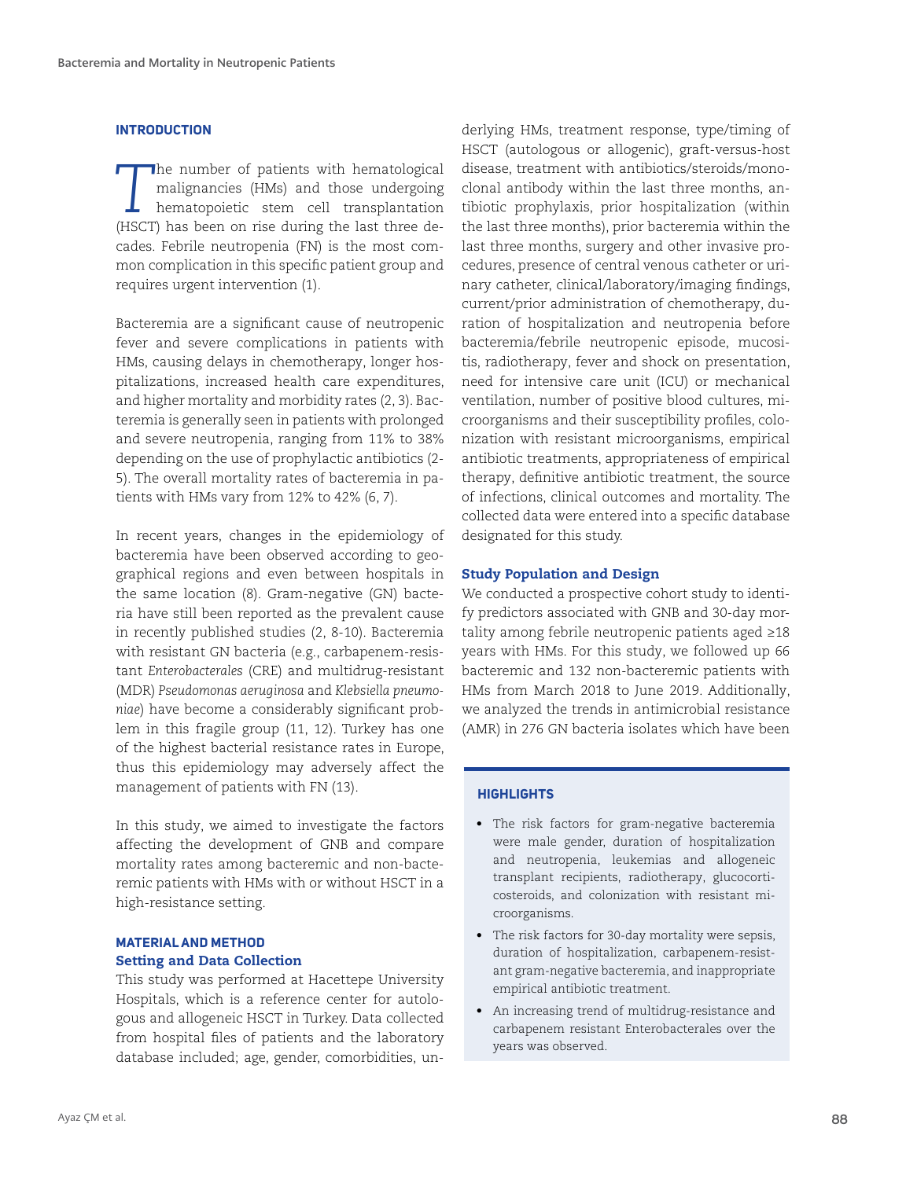#### **INTRODUCTION**

**The number of patients with hematological malignancies (HMs) and those undergoing hematopoietic stem cell transplantation** malignancies (HMs) and those undergoing hematopoietic stem cell transplantation (HSCT) has been on rise during the last three decades. Febrile neutropenia (FN) is the most common complication in this specific patient group and requires urgent intervention (1).

Bacteremia are a significant cause of neutropenic fever and severe complications in patients with HMs, causing delays in chemotherapy, longer hospitalizations, increased health care expenditures, and higher mortality and morbidity rates (2, 3). Bacteremia is generally seen in patients with prolonged and severe neutropenia, ranging from 11% to 38% depending on the use of prophylactic antibiotics (2- 5). The overall mortality rates of bacteremia in patients with HMs vary from 12% to 42% (6, 7).

In recent years, changes in the epidemiology of bacteremia have been observed according to geographical regions and even between hospitals in the same location (8). Gram-negative (GN) bacteria have still been reported as the prevalent cause in recently published studies (2, 8-10). Bacteremia with resistant GN bacteria (e.g., carbapenem-resistant *Enterobacterales* (CRE) and multidrug-resistant (MDR) *Pseudomonas aeruginosa* and *Klebsiella pneumoniae*) have become a considerably significant problem in this fragile group (11, 12). Turkey has one of the highest bacterial resistance rates in Europe, thus this epidemiology may adversely affect the management of patients with FN (13).

In this study, we aimed to investigate the factors affecting the development of GNB and compare mortality rates among bacteremic and non-bacteremic patients with HMs with or without HSCT in a high-resistance setting.

# **MATERIAL AND METHOD** Setting and Data Collection

This study was performed at Hacettepe University Hospitals, which is a reference center for autologous and allogeneic HSCT in Turkey. Data collected from hospital files of patients and the laboratory database included; age, gender, comorbidities, underlying HMs, treatment response, type/timing of HSCT (autologous or allogenic), graft-versus-host disease, treatment with antibiotics/steroids/monoclonal antibody within the last three months, antibiotic prophylaxis, prior hospitalization (within the last three months), prior bacteremia within the last three months, surgery and other invasive procedures, presence of central venous catheter or urinary catheter, clinical/laboratory/imaging findings, current/prior administration of chemotherapy, duration of hospitalization and neutropenia before bacteremia/febrile neutropenic episode, mucositis, radiotherapy, fever and shock on presentation, need for intensive care unit (ICU) or mechanical ventilation, number of positive blood cultures, microorganisms and their susceptibility profiles, colonization with resistant microorganisms, empirical antibiotic treatments, appropriateness of empirical therapy, definitive antibiotic treatment, the source of infections, clinical outcomes and mortality. The collected data were entered into a specific database designated for this study.

## Study Population and Design

We conducted a prospective cohort study to identify predictors associated with GNB and 30-day mortality among febrile neutropenic patients aged ≥18 years with HMs. For this study, we followed up 66 bacteremic and 132 non-bacteremic patients with HMs from March 2018 to June 2019. Additionally, we analyzed the trends in antimicrobial resistance (AMR) in 276 GN bacteria isolates which have been

#### **HIGHLIGHTS**

- The risk factors for gram-negative bacteremia were male gender, duration of hospitalization and neutropenia, leukemias and allogeneic transplant recipients, radiotherapy, glucocorticosteroids, and colonization with resistant microorganisms.
- The risk factors for 30-day mortality were sepsis, duration of hospitalization, carbapenem-resistant gram-negative bacteremia, and inappropriate empirical antibiotic treatment.
- An increasing trend of multidrug-resistance and carbapenem resistant Enterobacterales over the years was observed.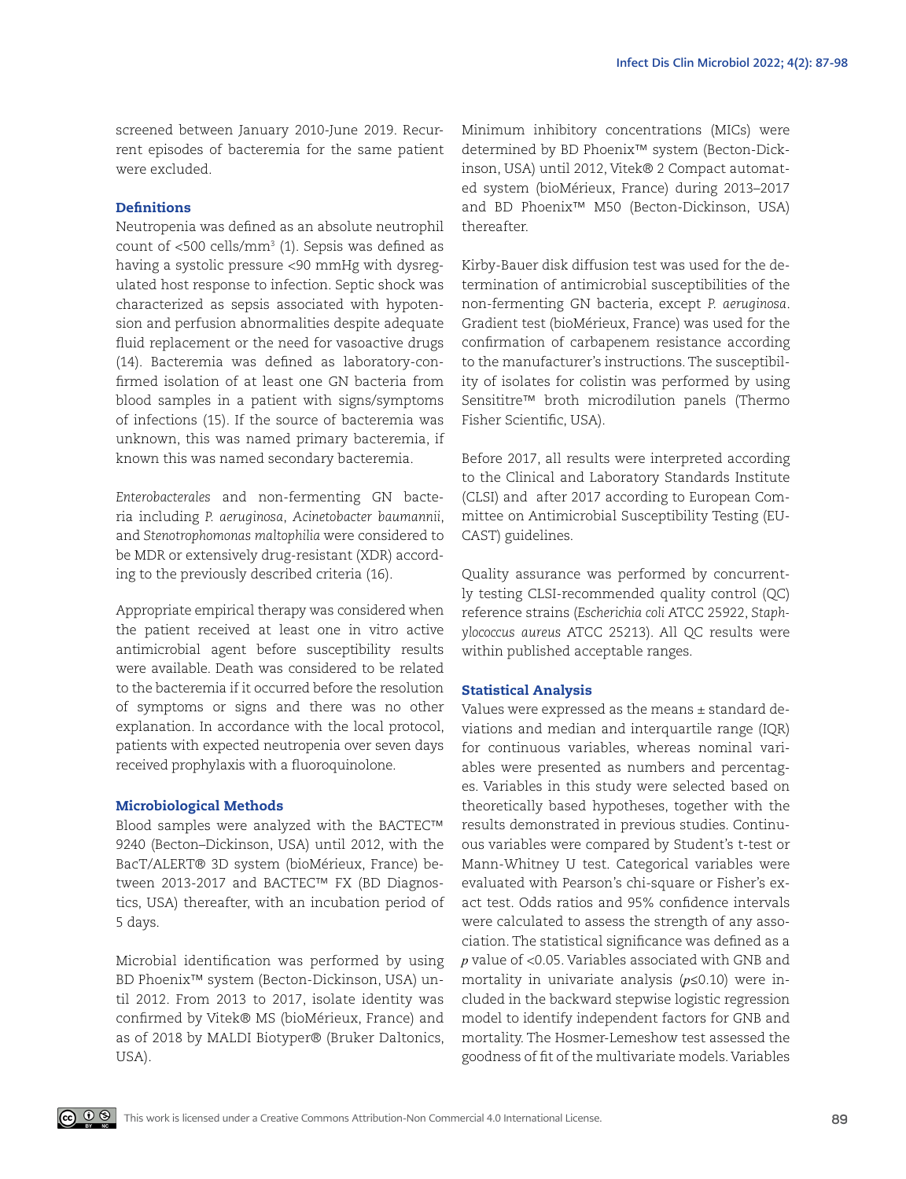screened between January 2010-June 2019. Recurrent episodes of bacteremia for the same patient were excluded.

## **Definitions**

Neutropenia was defined as an absolute neutrophil count of  $<$ 500 cells/mm $^3$  (1). Sepsis was defined as having a systolic pressure <90 mmHg with dysregulated host response to infection. Septic shock was characterized as sepsis associated with hypotension and perfusion abnormalities despite adequate fluid replacement or the need for vasoactive drugs (14). Bacteremia was defined as laboratory-confirmed isolation of at least one GN bacteria from blood samples in a patient with signs/symptoms of infections (15). If the source of bacteremia was unknown, this was named primary bacteremia, if known this was named secondary bacteremia.

*Enterobacterales* and non-fermenting GN bacteria including *P. aeruginosa*, *Acinetobacter baumannii*, and *Stenotrophomonas maltophilia* were considered to be MDR or extensively drug-resistant (XDR) according to the previously described criteria (16).

Appropriate empirical therapy was considered when the patient received at least one in vitro active antimicrobial agent before susceptibility results were available. Death was considered to be related to the bacteremia if it occurred before the resolution of symptoms or signs and there was no other explanation. In accordance with the local protocol, patients with expected neutropenia over seven days received prophylaxis with a fluoroquinolone.

#### Microbiological Methods

Blood samples were analyzed with the BACTEC™ 9240 (Becton–Dickinson, USA) until 2012, with the BacT/ALERT® 3D system (bioMérieux, France) between 2013-2017 and BACTEC™ FX (BD Diagnostics, USA) thereafter, with an incubation period of 5 days.

Microbial identification was performed by using BD Phoenix™ system (Becton-Dickinson, USA) until 2012. From 2013 to 2017, isolate identity was confirmed by Vitek® MS (bioMérieux, France) and as of 2018 by MALDI Biotyper® (Bruker Daltonics, USA).

Minimum inhibitory concentrations (MICs) were determined by BD Phoenix™ system (Becton-Dickinson, USA) until 2012, Vitek® 2 Compact automated system (bioMérieux, France) during 2013–2017 and BD Phoenix™ M50 (Becton-Dickinson, USA) thereafter.

Kirby-Bauer disk diffusion test was used for the determination of antimicrobial susceptibilities of the non-fermenting GN bacteria, except *P. aeruginosa*. Gradient test (bioMérieux, France) was used for the confirmation of carbapenem resistance according to the manufacturer's instructions. The susceptibility of isolates for colistin was performed by using Sensititre™ broth microdilution panels (Thermo Fisher Scientific, USA).

Before 2017, all results were interpreted according to the Clinical and Laboratory Standards Institute (CLSI) and after 2017 according to European Committee on Antimicrobial Susceptibility Testing (EU-CAST) guidelines.

Quality assurance was performed by concurrently testing CLSI-recommended quality control (QC) reference strains (*Escherichia coli* ATCC 25922, *Staphylococcus aureus* ATCC 25213). All QC results were within published acceptable ranges.

#### Statistical Analysis

Values were expressed as the means  $\pm$  standard deviations and median and interquartile range (IQR) for continuous variables, whereas nominal variables were presented as numbers and percentages. Variables in this study were selected based on theoretically based hypotheses, together with the results demonstrated in previous studies. Continuous variables were compared by Student's t-test or Mann-Whitney U test. Categorical variables were evaluated with Pearson's chi-square or Fisher's exact test. Odds ratios and 95% confidence intervals were calculated to assess the strength of any association. The statistical significance was defined as a *p* value of <0.05. Variables associated with GNB and mortality in univariate analysis (*p*≤0.10) were included in the backward stepwise logistic regression model to identify independent factors for GNB and mortality. The Hosmer-Lemeshow test assessed the goodness of fit of the multivariate models. Variables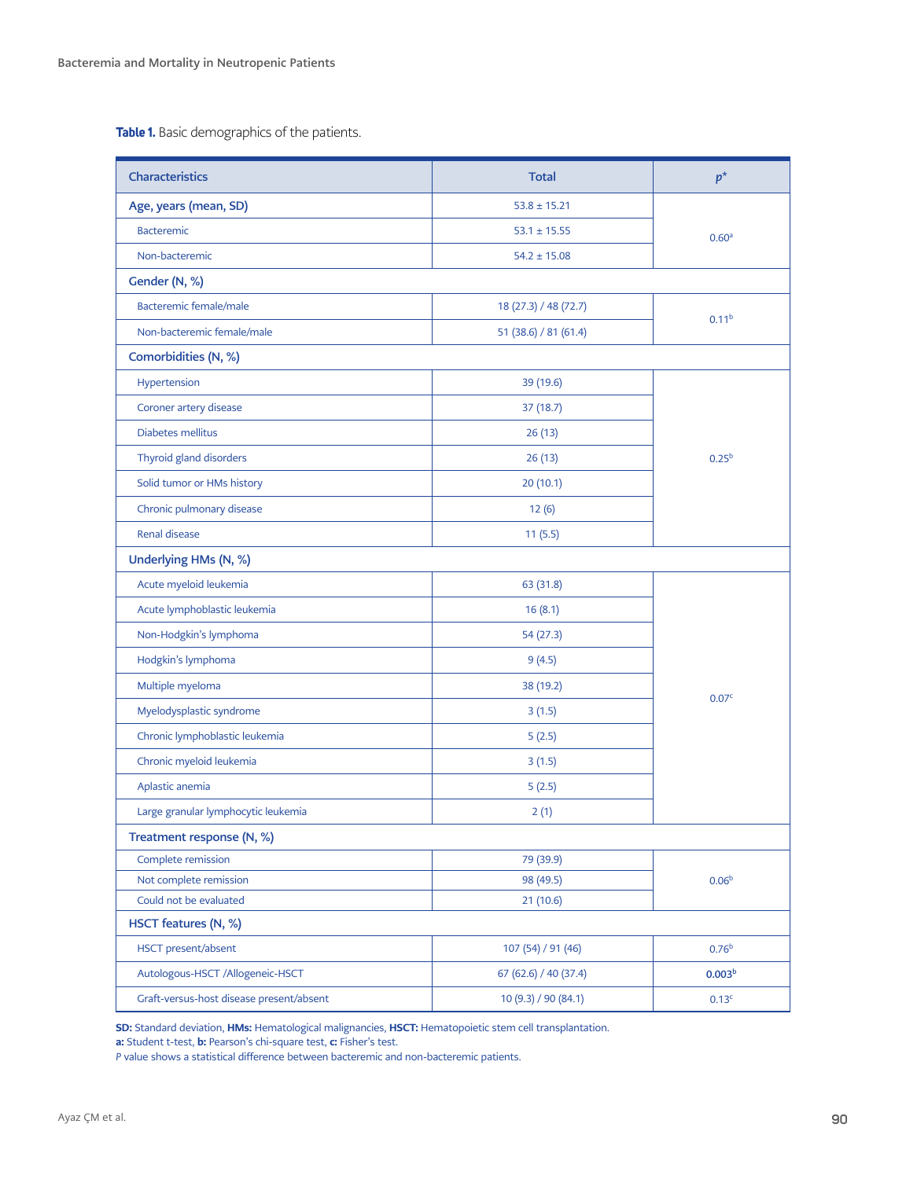**Table 1.** Basic demographics of the patients.

| Characteristics                          | <b>Total</b>                              | $p^*$              |
|------------------------------------------|-------------------------------------------|--------------------|
| Age, years (mean, SD)                    | $53.8 \pm 15.21$                          |                    |
| Bacteremic                               | $53.1 \pm 15.55$                          | 0.60 <sup>a</sup>  |
| Non-bacteremic                           | $54.2 \pm 15.08$                          |                    |
| Gender (N, %)                            |                                           |                    |
| Bacteremic female/male                   | 18 (27.3) / 48 (72.7)                     |                    |
| Non-bacteremic female/male               | 51 (38.6) / 81 (61.4)                     | 0.11 <sup>b</sup>  |
| Comorbidities (N, %)                     |                                           |                    |
| Hypertension                             | 39 (19.6)                                 |                    |
| Coroner artery disease                   | 37 (18.7)                                 |                    |
| Diabetes mellitus                        | 26(13)                                    |                    |
| Thyroid gland disorders                  | 26(13)                                    | $0.25^{b}$         |
| Solid tumor or HMs history               | 20(10.1)                                  |                    |
| Chronic pulmonary disease                | 12(6)                                     |                    |
| <b>Renal disease</b>                     | 11(5.5)                                   |                    |
| Underlying HMs (N, %)                    |                                           |                    |
| Acute myeloid leukemia                   | 63 (31.8)                                 |                    |
| Acute lymphoblastic leukemia             | 16(8.1)                                   |                    |
| Non-Hodgkin's lymphoma                   | 54 (27.3)                                 |                    |
| Hodgkin's lymphoma                       | 9(4.5)                                    |                    |
| Multiple myeloma                         | 38 (19.2)                                 |                    |
| Myelodysplastic syndrome                 | 3(1.5)                                    | 0.07 <sup>c</sup>  |
| Chronic lymphoblastic leukemia           | 5(2.5)                                    |                    |
| Chronic myeloid leukemia                 | 3(1.5)                                    |                    |
| Aplastic anemia                          | 5(2.5)                                    |                    |
| Large granular lymphocytic leukemia      | 2(1)                                      |                    |
| Treatment response (N, %)                |                                           |                    |
| Complete remission                       | 79 (39.9)                                 |                    |
| Not complete remission                   | 98 (49.5)                                 | 0.06 <sup>b</sup>  |
| Could not be evaluated                   | 21(10.6)                                  |                    |
| HSCT features (N, %)                     |                                           |                    |
| HSCT present/absent                      | 107 (54) / 91 (46)                        | 0.76 <sup>b</sup>  |
| Autologous-HSCT /Allogeneic-HSCT         | 67 (62.6) / 40 (37.4)                     | 0.003 <sup>b</sup> |
| Graft-versus-host disease present/absent | 10 (9.3) / 90 (84.1)<br>0.13 <sup>c</sup> |                    |

SD: Standard deviation, HMs: Hematological malignancies, HSCT: Hematopoietic stem cell transplantation.

**a:** Student t-test, **b:** Pearson's chi-square test, **c:** Fisher's test.

*P* value shows a statistical difference between bacteremic and non-bacteremic patients.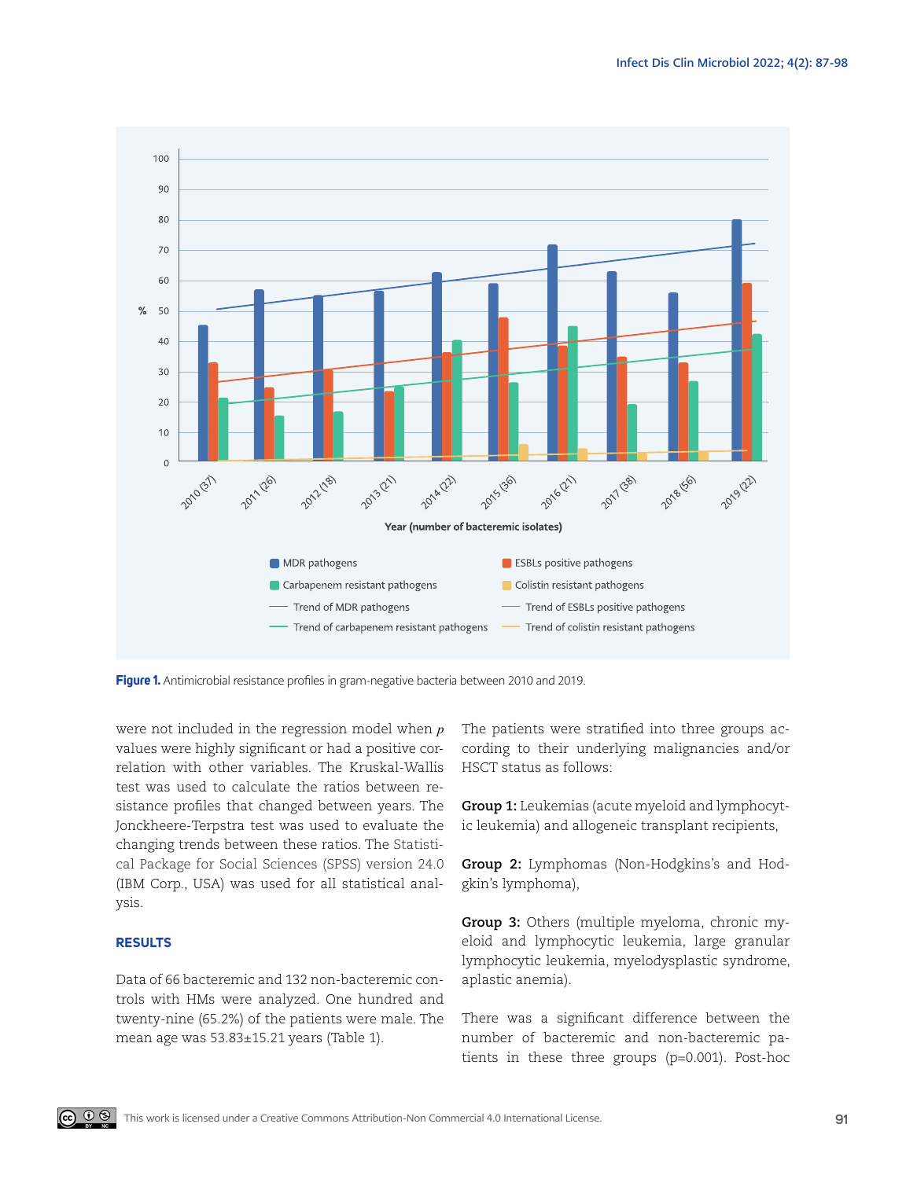

**Figure 1.** Antimicrobial resistance profiles in gram-negative bacteria between 2010 and 2019.

were not included in the regression model when *p* values were highly significant or had a positive correlation with other variables. The Kruskal-Wallis test was used to calculate the ratios between resistance profiles that changed between years. The Jonckheere-Terpstra test was used to evaluate the changing trends between these ratios. The Statistical Package for Social Sciences (SPSS) version 24.0 (IBM Corp., USA) was used for all statistical analysis.

#### **RESULTS**

Data of 66 bacteremic and 132 non-bacteremic controls with HMs were analyzed. One hundred and twenty-nine (65.2%) of the patients were male. The mean age was 53.83±15.21 years (Table 1).

The patients were stratified into three groups according to their underlying malignancies and/or HSCT status as follows:

**Group 1:** Leukemias (acute myeloid and lymphocytic leukemia) and allogeneic transplant recipients,

**Group 2:** Lymphomas (Non-Hodgkins's and Hodgkin's lymphoma),

**Group 3:** Others (multiple myeloma, chronic myeloid and lymphocytic leukemia, large granular lymphocytic leukemia, myelodysplastic syndrome, aplastic anemia).

There was a significant difference between the number of bacteremic and non-bacteremic patients in these three groups (p=0.001). Post-hoc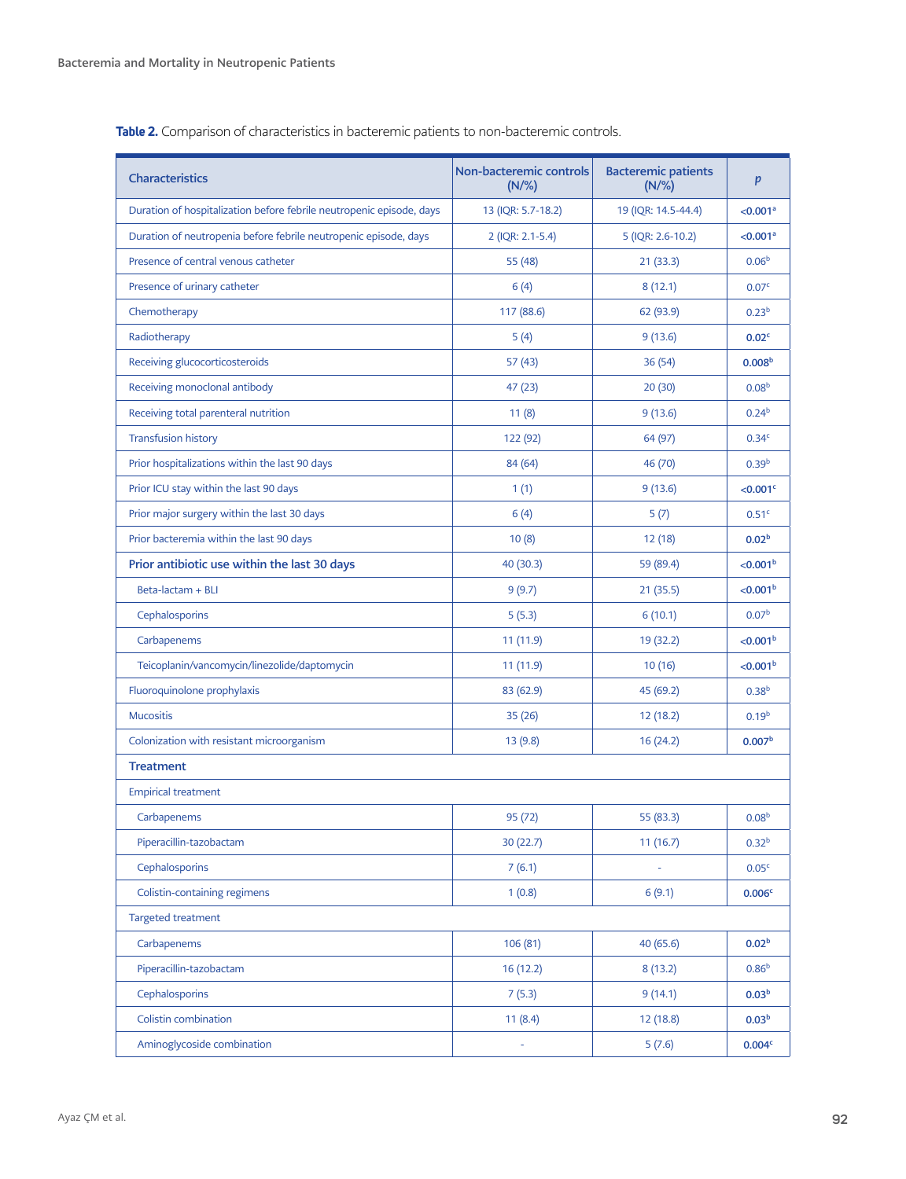| <b>Characteristics</b>                                               | <b>Non-bacteremic controls</b><br>$(N/\%)$ | <b>Bacteremic patients</b><br>$(N/\%)$ | p                    |
|----------------------------------------------------------------------|--------------------------------------------|----------------------------------------|----------------------|
| Duration of hospitalization before febrile neutropenic episode, days | 13 (IQR: 5.7-18.2)                         | 19 (IQR: 14.5-44.4)                    | < 0.001 <sup>a</sup> |
| Duration of neutropenia before febrile neutropenic episode, days     | 2 (IQR: 2.1-5.4)                           | 5 (IQR: 2.6-10.2)                      | < 0.001 <sup>a</sup> |
| Presence of central venous catheter                                  | 55 (48)                                    | 21(33.3)                               | 0.06 <sup>b</sup>    |
| Presence of urinary catheter                                         | 6(4)                                       | 8(12.1)                                | 0.07 <sup>c</sup>    |
| Chemotherapy                                                         | 117 (88.6)                                 | 62 (93.9)                              | 0.23 <sup>b</sup>    |
| Radiotherapy                                                         | 5(4)                                       | 9(13.6)                                | 0.02 <sup>c</sup>    |
| Receiving glucocorticosteroids                                       | 57(43)                                     | 36 (54)                                | 0.008 <sup>b</sup>   |
| Receiving monoclonal antibody                                        | 47 (23)                                    | 20(30)                                 | 0.08 <sup>b</sup>    |
| Receiving total parenteral nutrition                                 | 11(8)                                      | 9(13.6)                                | 0.24 <sup>b</sup>    |
| <b>Transfusion history</b>                                           | 122 (92)                                   | 64 (97)                                | 0.34 <sup>c</sup>    |
| Prior hospitalizations within the last 90 days                       | 84 (64)                                    | 46 (70)                                | 0.39 <sup>b</sup>    |
| Prior ICU stay within the last 90 days                               | 1(1)                                       | 9(13.6)                                | <0.001 <sup>c</sup>  |
| Prior major surgery within the last 30 days                          | 6(4)                                       | 5(7)                                   | 0.51 <sup>c</sup>    |
| Prior bacteremia within the last 90 days                             | 10(8)                                      | 12 (18)                                | 0.02 <sup>b</sup>    |
| Prior antibiotic use within the last 30 days                         | 40(30.3)                                   | 59 (89.4)                              | < 0.001 <sup>b</sup> |
| Beta-lactam + BLI                                                    | 9(9.7)                                     | 21(35.5)                               | < 0.001 <sup>b</sup> |
| Cephalosporins                                                       | 5(5.3)                                     | 6(10.1)                                | 0.07 <sup>b</sup>    |
| Carbapenems                                                          | 11(11.9)                                   | 19 (32.2)                              | < 0.001 <sup>b</sup> |
| Teicoplanin/vancomycin/linezolide/daptomycin                         | 11 (11.9)                                  | 10(16)                                 | < 0.001 <sup>b</sup> |
| Fluoroquinolone prophylaxis                                          | 83 (62.9)                                  | 45 (69.2)                              | 0.38 <sup>b</sup>    |
| <b>Mucositis</b>                                                     | 35(26)                                     | 12(18.2)                               | 0.19 <sup>b</sup>    |
| Colonization with resistant microorganism                            | 13(9.8)                                    | 16 (24.2)                              | 0.007 <sup>b</sup>   |
| <b>Treatment</b>                                                     |                                            |                                        |                      |
| <b>Empirical treatment</b>                                           |                                            |                                        |                      |
| Carbapenems                                                          | 95 (72)                                    | 55 (83.3)                              | 0.08 <sup>b</sup>    |
| Piperacillin-tazobactam                                              | 30(22.7)                                   | 11(16.7)                               | 0.32 <sup>b</sup>    |
| Cephalosporins                                                       | 7(6.1)                                     |                                        | 0.05 <sup>c</sup>    |
| Colistin-containing regimens                                         | 1(0.8)                                     | 6(9.1)                                 | 0.006 <sup>c</sup>   |
| Targeted treatment                                                   |                                            |                                        |                      |
| Carbapenems                                                          | 106 (81)                                   | 40 (65.6)                              | 0.02 <sup>b</sup>    |
| Piperacillin-tazobactam                                              | 16 (12.2)                                  | 8(13.2)                                | 0.86 <sup>b</sup>    |
| Cephalosporins                                                       | 7(5.3)                                     | 9(14.1)                                | 0.03 <sup>b</sup>    |
| Colistin combination                                                 | 11(8.4)                                    | 12 (18.8)                              | 0.03 <sup>b</sup>    |
| Aminoglycoside combination                                           | ÷                                          | 5(7.6)                                 | 0.004c               |

**Table 2.** Comparison of characteristics in bacteremic patients to non-bacteremic controls.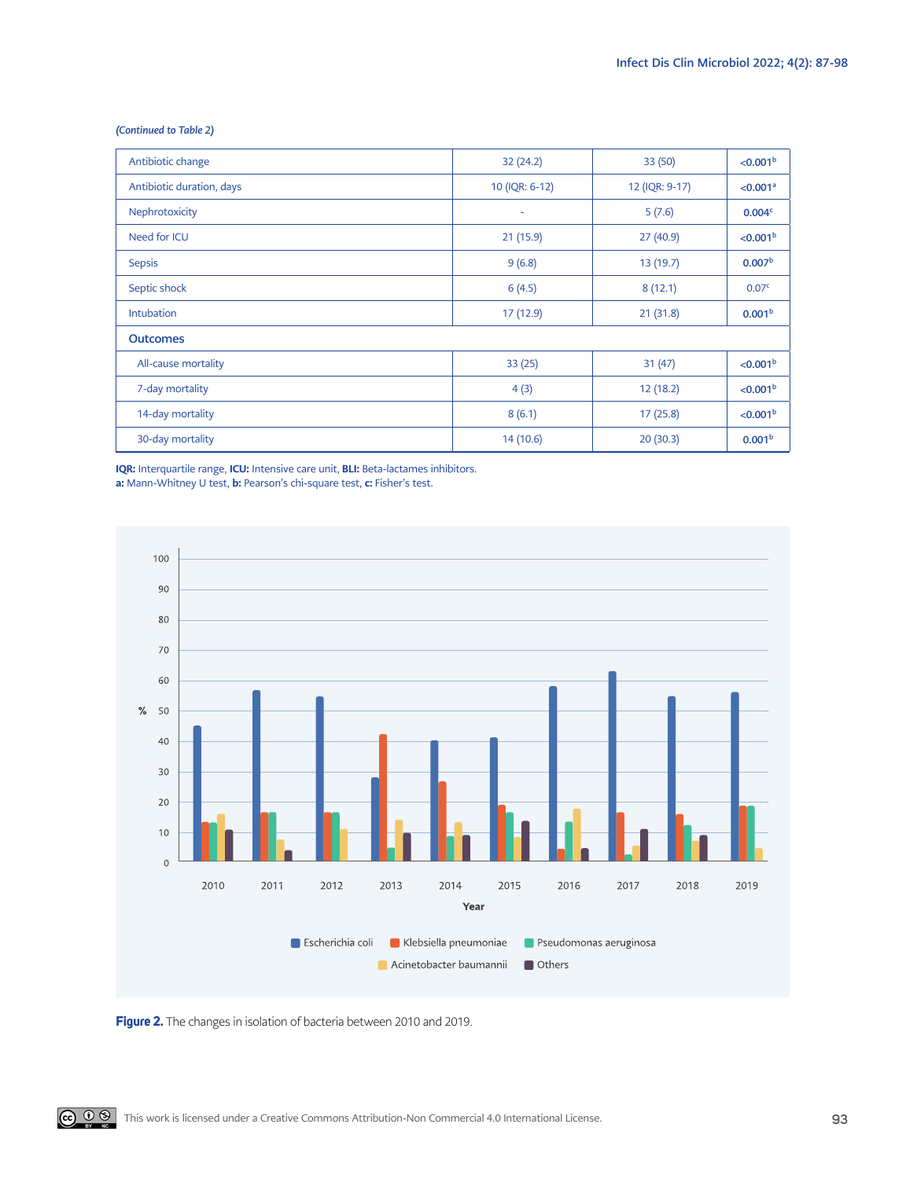| (Continued to Table 2) |  |  |  |
|------------------------|--|--|--|
|------------------------|--|--|--|

| Antibiotic change         | 32(24.2)       | 33(50)         | < 0.001 <sup>b</sup> |
|---------------------------|----------------|----------------|----------------------|
| Antibiotic duration, days | 10 (IQR: 6-12) | 12 (IQR: 9-17) | < 0.001 <sup>a</sup> |
| Nephrotoxicity            | ٠              | 5(7.6)         | 0.004 <sup>c</sup>   |
| Need for ICU              | 21(15.9)       | 27(40.9)       | < 0.001 <sup>b</sup> |
| <b>Sepsis</b>             | 9(6.8)         | 13(19.7)       | 0.007 <sup>b</sup>   |
| Septic shock              | 6(4.5)         | 8(12.1)        | 0.07 <sup>c</sup>    |
| <b>Intubation</b>         | 17 (12.9)      | 21(31.8)       | 0.001 <sup>b</sup>   |
| <b>Outcomes</b>           |                |                |                      |
| All-cause mortality       | 33(25)         | 31(47)         | < 0.001 <sup>b</sup> |
| 7-day mortality           | 4(3)           | 12(18.2)       | < 0.001 <sup>b</sup> |
| 14-day mortality          | 8(6.1)         | 17(25.8)       | < 0.001 <sup>b</sup> |
| 30-day mortality          | 14 (10.6)      | 20(30.3)       | 0.001 <sup>b</sup>   |

IQR: Interquartile range, ICU: Intensive care unit, BLI: Beta-lactames inhibitors. a: Mann-Whitney U test, b: Pearson's chi-square test, c: Fisher's test.



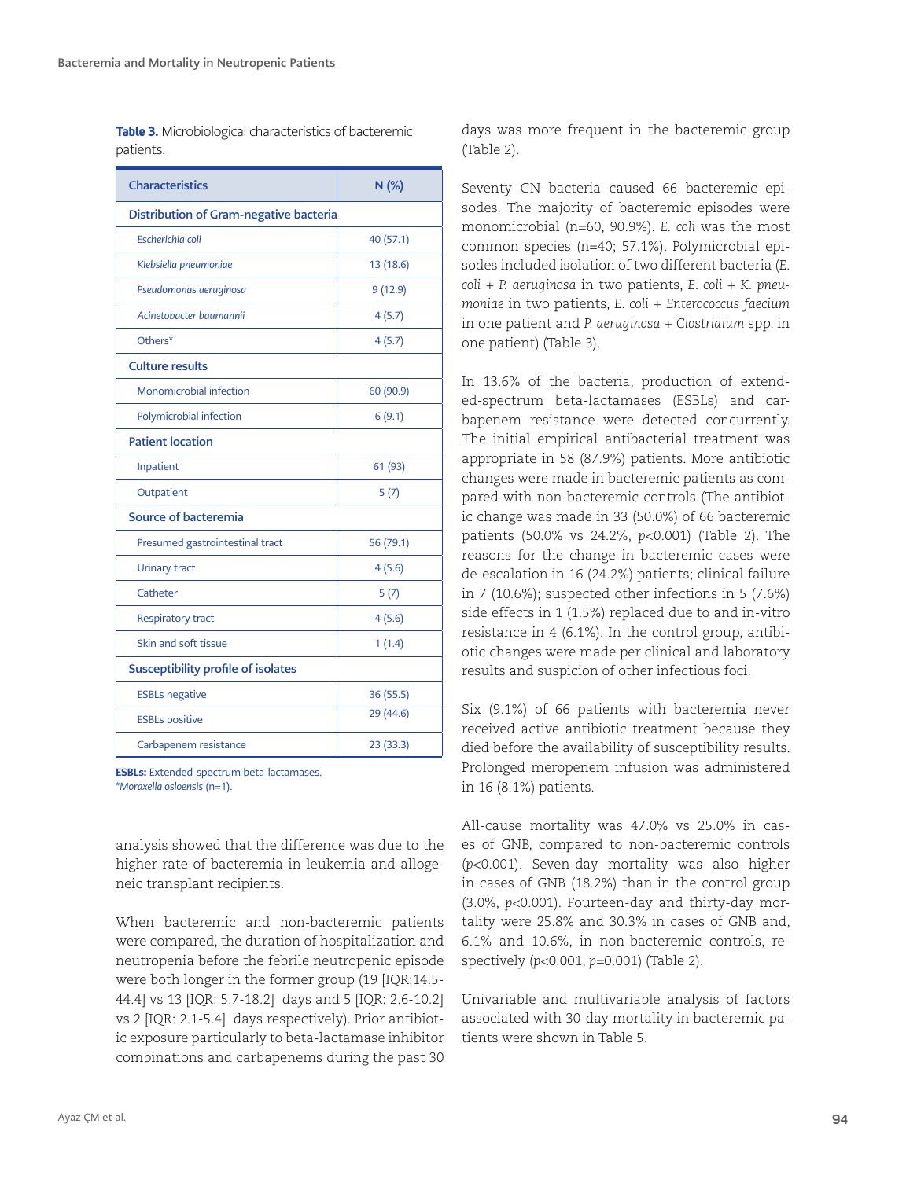|           | <b>Table 3.</b> Microbiological characteristics of bacteremic |  |
|-----------|---------------------------------------------------------------|--|
| patients. |                                                               |  |

| <b>Characteristics</b>                 | $N$ (%)   |  |  |  |  |
|----------------------------------------|-----------|--|--|--|--|
| Distribution of Gram-negative bacteria |           |  |  |  |  |
| Escherichia coli                       | 40 (57.1) |  |  |  |  |
| Klebsiella pneumoniae                  | 13 (18.6) |  |  |  |  |
| Pseudomonas aeruginosa                 | 9(12.9)   |  |  |  |  |
| Acinetobacter baumannii                | 4(5.7)    |  |  |  |  |
| Others*                                | 4(5.7)    |  |  |  |  |
| <b>Culture results</b>                 |           |  |  |  |  |
| Monomicrobial infection                | 60 (90.9) |  |  |  |  |
| Polymicrobial infection                | 6(9.1)    |  |  |  |  |
| <b>Patient location</b>                |           |  |  |  |  |
| Inpatient                              | 61 (93)   |  |  |  |  |
| Outpatient                             | 5(7)      |  |  |  |  |
| Source of bacteremia                   |           |  |  |  |  |
| Presumed gastrointestinal tract        | 56 (79.1) |  |  |  |  |
| <b>Urinary tract</b>                   | 4(5.6)    |  |  |  |  |
| Catheter                               | 5(7)      |  |  |  |  |
| <b>Respiratory tract</b>               | 4(5.6)    |  |  |  |  |
| Skin and soft tissue                   | 1(1.4)    |  |  |  |  |
| Susceptibility profile of isolates     |           |  |  |  |  |
| <b>ESBLs negative</b>                  | 36 (55.5) |  |  |  |  |
| <b>ESBLs positive</b>                  | 29 (44.6) |  |  |  |  |
| Carbapenem resistance                  | 23(33.3)  |  |  |  |  |

ESBLs: Extended-spectrum beta-lactamases. \**Moraxella osloensis* (n=1).

analysis showed that the difference was due to the higher rate of bacteremia in leukemia and allogeneic transplant recipients.

When bacteremic and non-bacteremic patients were compared, the duration of hospitalization and neutropenia before the febrile neutropenic episode were both longer in the former group (19 [IQR:14.5- 44.4] vs 13 [IQR: 5.7-18.2] days and 5 [IQR: 2.6-10.2] vs 2 [IQR: 2.1-5.4] days respectively). Prior antibiotic exposure particularly to beta-lactamase inhibitor combinations and carbapenems during the past 30

days was more frequent in the bacteremic group (Table 2).

Seventy GN bacteria caused 66 bacteremic episodes. The majority of bacteremic episodes were monomicrobial (n=60, 90.9%). *E. coli* was the most common species (n=40; 57.1%). Polymicrobial episodes included isolation of two different bacteria (*E. coli* + *P. aeruginosa* in two patients, *E. coli* + *K. pneumoniae* in two patients, *E. coli* + *Enterococcus faecium* in one patient and *P. aeruginosa* + *Clostridium* spp. in one patient) (Table 3).

In 13.6% of the bacteria, production of extended-spectrum beta-lactamases (ESBLs) and carbapenem resistance were detected concurrently. The initial empirical antibacterial treatment was appropriate in 58 (87.9%) patients. More antibiotic changes were made in bacteremic patients as compared with non-bacteremic controls (The antibiotic change was made in 33 (50.0%) of 66 bacteremic patients (50.0% vs 24.2%, *p*<0.001) (Table 2). The reasons for the change in bacteremic cases were de-escalation in 16 (24.2%) patients; clinical failure in 7 (10.6%); suspected other infections in 5 (7.6%) side effects in 1 (1.5%) replaced due to and in-vitro resistance in 4 (6.1%). In the control group, antibiotic changes were made per clinical and laboratory results and suspicion of other infectious foci.

Six (9.1%) of 66 patients with bacteremia never received active antibiotic treatment because they died before the availability of susceptibility results. Prolonged meropenem infusion was administered in 16 (8.1%) patients.

All-cause mortality was 47.0% vs 25.0% in cases of GNB, compared to non-bacteremic controls (*p*<0.001). Seven-day mortality was also higher in cases of GNB (18.2%) than in the control group (3.0%, *p*<0.001). Fourteen-day and thirty-day mortality were 25.8% and 30.3% in cases of GNB and, 6.1% and 10.6%, in non-bacteremic controls, respectively (*p*<0.001, *p*=0.001) (Table 2).

Univariable and multivariable analysis of factors associated with 30-day mortality in bacteremic patients were shown in Table 5.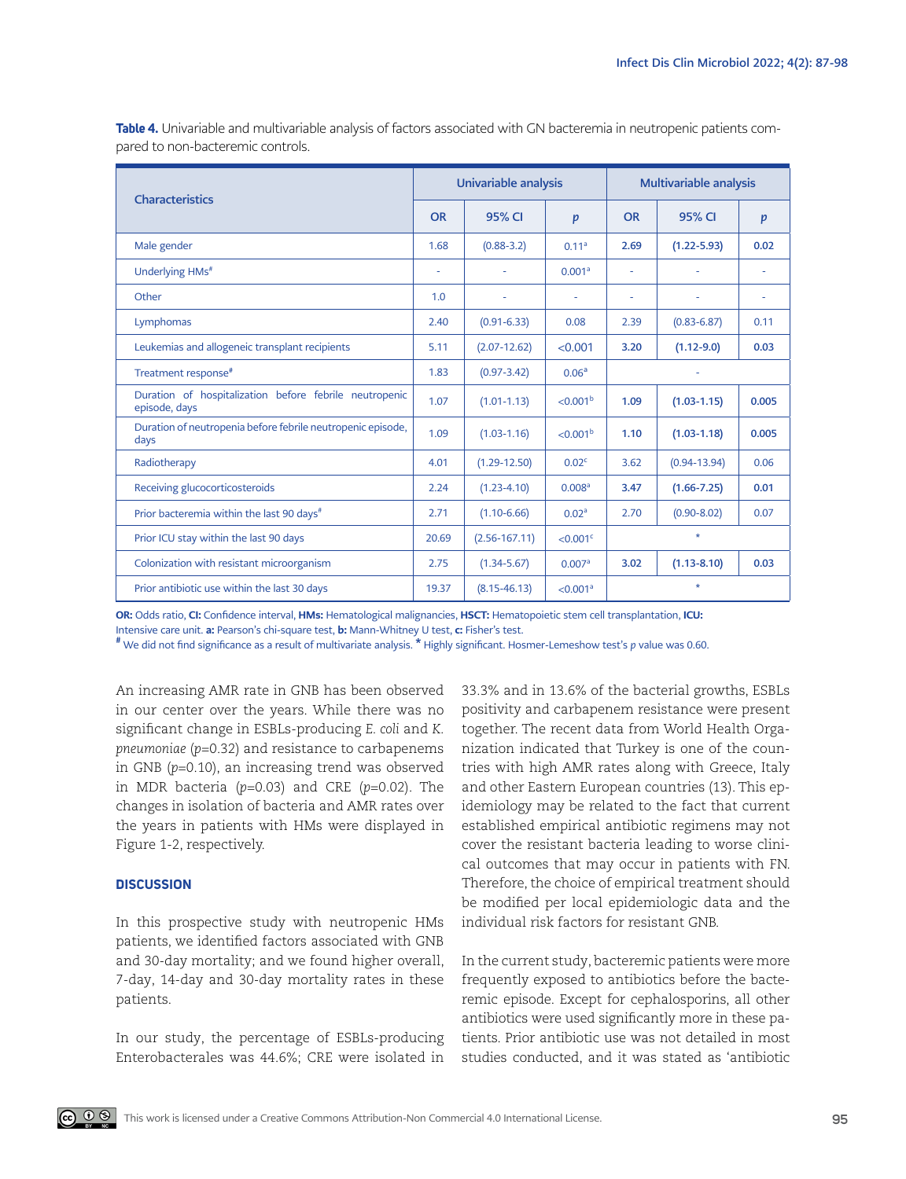| <b>Characteristics</b>                                                  |       | Univariable analysis |                         |           | Multivariable analysis |       |  |
|-------------------------------------------------------------------------|-------|----------------------|-------------------------|-----------|------------------------|-------|--|
|                                                                         |       | 95% CI               | p                       | <b>OR</b> | 95% CI                 | p     |  |
| Male gender                                                             | 1.68  | $(0.88 - 3.2)$       | 0.11 <sup>a</sup>       | 2.69      | $(1.22 - 5.93)$        | 0.02  |  |
| Underlying HMs <sup>#</sup>                                             | ٠     | ä,                   | 0.001 <sup>a</sup>      | ä,        | ٠                      |       |  |
| Other                                                                   | 1.0   | ÷.                   | ä,                      | ٠         | ä,                     |       |  |
| Lymphomas                                                               | 2.40  | $(0.91 - 6.33)$      | 0.08                    | 2.39      | $(0.83 - 6.87)$        | 0.11  |  |
| Leukemias and allogeneic transplant recipients                          | 5.11  | $(2.07 - 12.62)$     | < 0.001                 | 3.20      | $(1.12 - 9.0)$         | 0.03  |  |
| Treatment response <sup>#</sup>                                         | 1.83  | $(0.97 - 3.42)$      | 0.06 <sup>a</sup>       |           |                        |       |  |
| Duration of hospitalization before febrile neutropenic<br>episode, days | 1.07  | $(1.01 - 1.13)$      | < 0.001 <sup>b</sup>    | 1.09      | $(1.03 - 1.15)$        | 0.005 |  |
| Duration of neutropenia before febrile neutropenic episode,<br>days     | 1.09  | $(1.03 - 1.16)$      | < 0.001 <sup>b</sup>    | 1.10      | $(1.03 - 1.18)$        | 0.005 |  |
| Radiotherapy                                                            | 4.01  | $(1.29 - 12.50)$     | 0.02 <sup>c</sup>       | 3.62      | $(0.94 - 13.94)$       | 0.06  |  |
| Receiving glucocorticosteroids                                          | 2.24  | $(1.23 - 4.10)$      | 0.008 <sup>a</sup>      | 3.47      | $(1.66 - 7.25)$        | 0.01  |  |
| Prior bacteremia within the last 90 days <sup>#</sup>                   | 2.71  | $(1.10 - 6.66)$      | 0.02 <sup>a</sup>       | 2.70      | $(0.90 - 8.02)$        | 0.07  |  |
| Prior ICU stay within the last 90 days                                  | 20.69 | $(2.56 - 167.11)$    | $<$ 0.001 $\textdegree$ | $\star$   |                        |       |  |
| Colonization with resistant microorganism                               | 2.75  | $(1.34 - 5.67)$      | 0.007a                  | 3.02      | $(1.13 - 8.10)$        | 0.03  |  |
| Prior antibiotic use within the last 30 days                            | 19.37 | $(8.15 - 46.13)$     | < 0.001 <sup>a</sup>    |           | $\star$                |       |  |

**Table 4.** Univariable and multivariable analysis of factors associated with GN bacteremia in neutropenic patients compared to non-bacteremic controls.

OR: Odds ratio, CI: Confidence interval, HMs: Hematological malignancies, HSCT: Hematopoietic stem cell transplantation, ICU: Intensive care unit. a: Pearson's chi-square test, b: Mann-Whitney U test, c: Fisher's test.

# We did not find significance as a result of multivariate analysis. \* Highly significant. Hosmer-Lemeshow test's *p* value was 0.60.

An increasing AMR rate in GNB has been observed in our center over the years. While there was no significant change in ESBLs-producing *E. coli* and *K. pneumoniae* (*p*=0.32) and resistance to carbapenems in GNB (*p*=0.10), an increasing trend was observed in MDR bacteria (*p*=0.03) and CRE (*p*=0.02). The changes in isolation of bacteria and AMR rates over the years in patients with HMs were displayed in Figure 1-2, respectively.

## **DISCUSSION**

In this prospective study with neutropenic HMs patients, we identified factors associated with GNB and 30-day mortality; and we found higher overall, 7-day, 14-day and 30-day mortality rates in these patients.

In our study, the percentage of ESBLs-producing Enterobacterales was 44.6%; CRE were isolated in

33.3% and in 13.6% of the bacterial growths, ESBLs positivity and carbapenem resistance were present together. The recent data from World Health Organization indicated that Turkey is one of the countries with high AMR rates along with Greece, Italy and other Eastern European countries (13). This epidemiology may be related to the fact that current established empirical antibiotic regimens may not cover the resistant bacteria leading to worse clinical outcomes that may occur in patients with FN. Therefore, the choice of empirical treatment should be modified per local epidemiologic data and the individual risk factors for resistant GNB.

In the current study, bacteremic patients were more frequently exposed to antibiotics before the bacteremic episode. Except for cephalosporins, all other antibiotics were used significantly more in these patients. Prior antibiotic use was not detailed in most studies conducted, and it was stated as 'antibiotic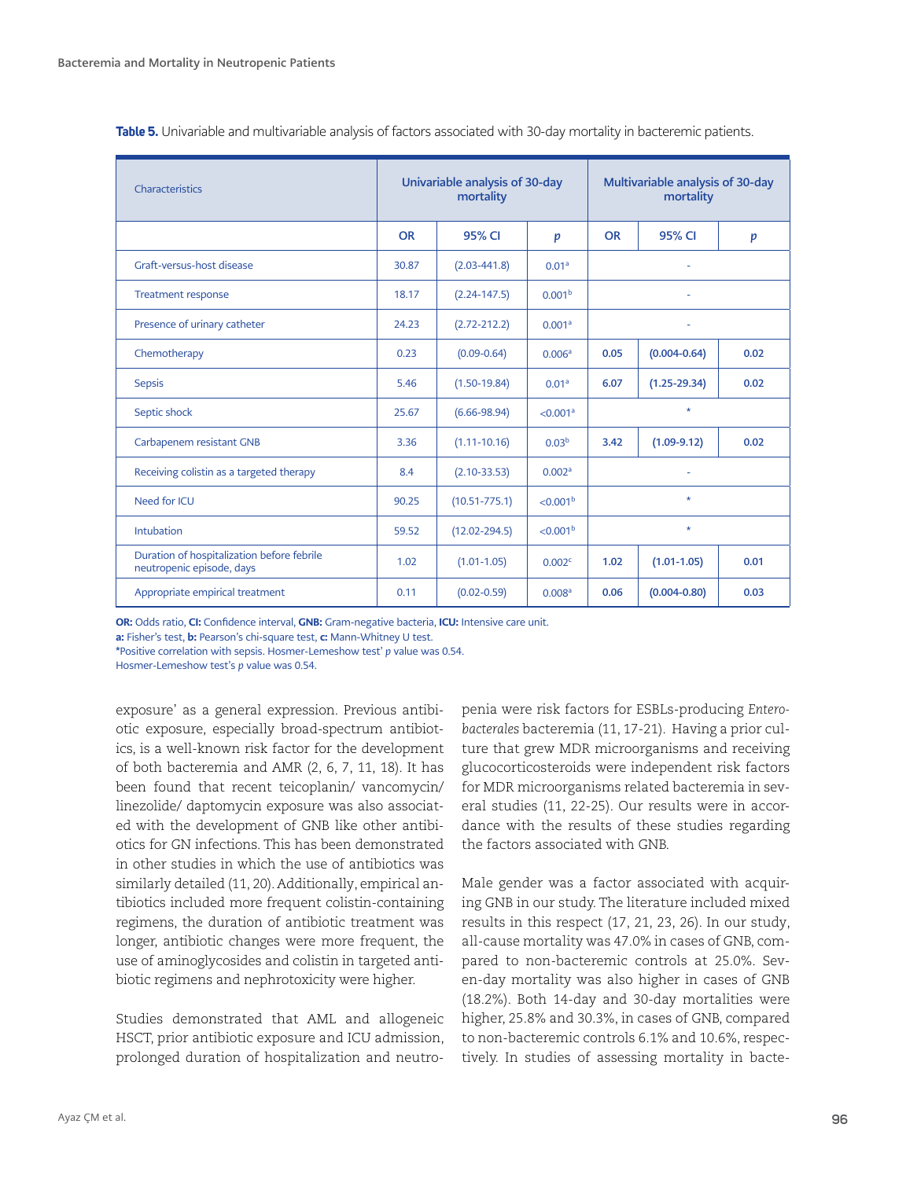| Characteristics                                                         | Univariable analysis of 30-day<br>mortality |                   |                      | Multivariable analysis of 30-day<br>mortality |                  |                  |
|-------------------------------------------------------------------------|---------------------------------------------|-------------------|----------------------|-----------------------------------------------|------------------|------------------|
|                                                                         | <b>OR</b>                                   | 95% CI            | p                    | <b>OR</b>                                     | 95% CI           | $\boldsymbol{p}$ |
| Graft-versus-host disease                                               | 30.87                                       | $(2.03 - 441.8)$  | 0.01 <sup>a</sup>    | ä,                                            |                  |                  |
| <b>Treatment response</b>                                               | 18.17                                       | $(2.24 - 147.5)$  | 0.001 <sup>b</sup>   |                                               |                  |                  |
| Presence of urinary catheter                                            | 24.23                                       | $(2.72 - 212.2)$  | 0.001 <sup>a</sup>   | ÷,                                            |                  |                  |
| Chemotherapy                                                            | 0.23                                        | $(0.09 - 0.64)$   | 0.006 <sup>a</sup>   | 0.05<br>$(0.004 - 0.64)$<br>0.02              |                  |                  |
| <b>Sepsis</b>                                                           | 5.46                                        | $(1.50 - 19.84)$  | 0.01 <sup>a</sup>    | 6.07                                          | $(1.25 - 29.34)$ | 0.02             |
| Septic shock                                                            | 25.67                                       | $(6.66 - 98.94)$  | < 0.001 <sup>a</sup> | $\star$                                       |                  |                  |
| Carbapenem resistant GNB                                                | 3.36                                        | $(1.11 - 10.16)$  | 0.03 <sup>b</sup>    | 3.42<br>$(1.09 - 9.12)$<br>0.02               |                  |                  |
| Receiving colistin as a targeted therapy                                | 8.4                                         | $(2.10 - 33.53)$  | 0.002 <sup>a</sup>   |                                               |                  |                  |
| Need for ICU                                                            | 90.25                                       | $(10.51 - 775.1)$ | < 0.001 <sup>b</sup> | $\star$                                       |                  |                  |
| <b>Intubation</b>                                                       | 59.52                                       | $(12.02 - 294.5)$ | < 0.001 <sup>b</sup> | $\star$                                       |                  |                  |
| Duration of hospitalization before febrile<br>neutropenic episode, days | 1.02                                        | $(1.01 - 1.05)$   | 0.002c               | 1.02                                          | $(1.01 - 1.05)$  | 0.01             |
| Appropriate empirical treatment                                         | 0.11                                        | $(0.02 - 0.59)$   | 0.008 <sup>a</sup>   | 0.06                                          | $(0.004 - 0.80)$ | 0.03             |

**Table 5.** Univariable and multivariable analysis of factors associated with 30-day mortality in bacteremic patients.

OR: Odds ratio, CI: Confidence interval, GNB: Gram-negative bacteria, ICU: Intensive care unit.

a: Fisher's test, b: Pearson's chi-square test, c: Mann-Whitney U test.

\*Positive correlation with sepsis. Hosmer-Lemeshow test' *p* value was 0.54.

Hosmer-Lemeshow test's *p* value was 0.54.

exposure' as a general expression. Previous antibiotic exposure, especially broad-spectrum antibiotics, is a well-known risk factor for the development of both bacteremia and AMR (2, 6, 7, 11, 18). It has been found that recent teicoplanin/ vancomycin/ linezolide/ daptomycin exposure was also associated with the development of GNB like other antibiotics for GN infections. This has been demonstrated in other studies in which the use of antibiotics was similarly detailed (11, 20). Additionally, empirical antibiotics included more frequent colistin-containing regimens, the duration of antibiotic treatment was longer, antibiotic changes were more frequent, the use of aminoglycosides and colistin in targeted antibiotic regimens and nephrotoxicity were higher.

Studies demonstrated that AML and allogeneic HSCT, prior antibiotic exposure and ICU admission, prolonged duration of hospitalization and neutropenia were risk factors for ESBLs-producing *Enterobacterales* bacteremia (11, 17-21). Having a prior culture that grew MDR microorganisms and receiving glucocorticosteroids were independent risk factors for MDR microorganisms related bacteremia in several studies (11, 22-25). Our results were in accordance with the results of these studies regarding the factors associated with GNB.

Male gender was a factor associated with acquiring GNB in our study. The literature included mixed results in this respect (17, 21, 23, 26). In our study, all-cause mortality was 47.0% in cases of GNB, compared to non-bacteremic controls at 25.0%. Seven-day mortality was also higher in cases of GNB (18.2%). Both 14-day and 30-day mortalities were higher, 25.8% and 30.3%, in cases of GNB, compared to non-bacteremic controls 6.1% and 10.6%, respectively. In studies of assessing mortality in bacte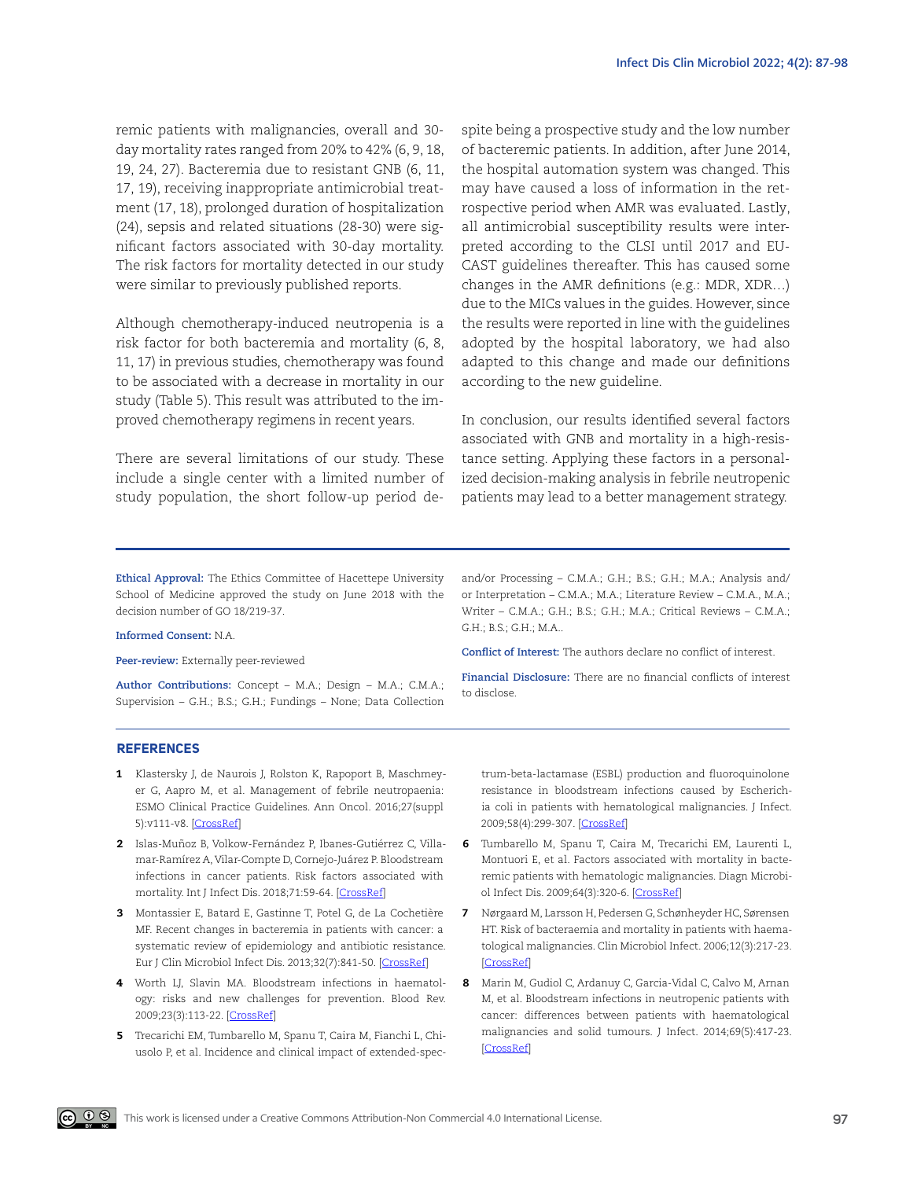remic patients with malignancies, overall and 30 day mortality rates ranged from 20% to 42% (6, 9, 18, 19, 24, 27). Bacteremia due to resistant GNB (6, 11, 17, 19), receiving inappropriate antimicrobial treatment (17, 18), prolonged duration of hospitalization (24), sepsis and related situations (28-30) were significant factors associated with 30-day mortality. The risk factors for mortality detected in our study were similar to previously published reports.

Although chemotherapy-induced neutropenia is a risk factor for both bacteremia and mortality (6, 8, 11, 17) in previous studies, chemotherapy was found to be associated with a decrease in mortality in our study (Table 5). This result was attributed to the improved chemotherapy regimens in recent years.

There are several limitations of our study. These include a single center with a limited number of study population, the short follow-up period despite being a prospective study and the low number of bacteremic patients. In addition, after June 2014, the hospital automation system was changed. This may have caused a loss of information in the retrospective period when AMR was evaluated. Lastly, all antimicrobial susceptibility results were interpreted according to the CLSI until 2017 and EU-CAST guidelines thereafter. This has caused some changes in the AMR definitions (e.g.: MDR, XDR…) due to the MICs values in the guides. However, since the results were reported in line with the guidelines adopted by the hospital laboratory, we had also adapted to this change and made our definitions according to the new guideline.

In conclusion, our results identified several factors associated with GNB and mortality in a high-resistance setting. Applying these factors in a personalized decision-making analysis in febrile neutropenic patients may lead to a better management strategy.

**Ethical Approval:** The Ethics Committee of Hacettepe University School of Medicine approved the study on June 2018 with the decision number of GO 18/219-37.

#### **Informed Consent:** N.A.

**Peer-review:** Externally peer-reviewed

**Author Contributions:** Concept – M.A.; Design – M.A.; C.M.A.; Supervision – G.H.; B.S.; G.H.; Fundings – None; Data Collection and/or Processing – C.M.A.; G.H.; B.S.; G.H.; M.A.; Analysis and/ or Interpretation – C.M.A.; M.A.; Literature Review – C.M.A., M.A.; Writer – C.M.A.; G.H.; B.S.; G.H.; M.A.; Critical Reviews – C.M.A.; G.H.; B.S.; G.H.; M.A..

**Conflict of Interest:** The authors declare no conflict of interest.

**Financial Disclosure:** There are no financial conflicts of interest to disclose.

#### **REFERENCES**

- 1 Klastersky J, de Naurois J, Rolston K, Rapoport B, Maschmeyer G, Aapro M, et al. Management of febrile neutropaenia: ESMO Clinical Practice Guidelines. Ann Oncol. 2016;27(suppl 5):v111-v8. [[CrossRef](https://doi.org/10.1093/annonc/mdw325)]
- 2 Islas-Muñoz B, Volkow-Fernández P, Ibanes-Gutiérrez C, Villamar-Ramírez A, Vilar-Compte D, Cornejo-Juárez P. Bloodstream infections in cancer patients. Risk factors associated with mortality. Int J Infect Dis. 2018;71:59-64. [\[CrossRef\]](https://doi.org/10.1016/j.ijid.2018.03.022)
- 3 Montassier E, Batard E, Gastinne T, Potel G, de La Cochetière MF. Recent changes in bacteremia in patients with cancer: a systematic review of epidemiology and antibiotic resistance. Eur J Clin Microbiol Infect Dis. 2013;32(7):841-50. [\[CrossRef](https://doi.org/10.1007/s10096-013-1819-7)]
- 4 Worth LJ, Slavin MA. Bloodstream infections in haematology: risks and new challenges for prevention. Blood Rev. 2009;23(3):113-22. [\[CrossRef\]](https://doi.org/10.1016/j.blre.2008.10.003)
- 5 Trecarichi EM, Tumbarello M, Spanu T, Caira M, Fianchi L, Chiusolo P, et al. Incidence and clinical impact of extended-spec-

trum-beta-lactamase (ESBL) production and fluoroquinolone resistance in bloodstream infections caused by Escherichia coli in patients with hematological malignancies. J Infect. 2009;58(4):299-307. [\[CrossRef](https://doi.org/10.1016/j.jinf.2009.02.002)]

- 6 Tumbarello M, Spanu T, Caira M, Trecarichi EM, Laurenti L, Montuori E, et al. Factors associated with mortality in bacteremic patients with hematologic malignancies. Diagn Microbiol Infect Dis. 2009;64(3):320-6. [\[CrossRef\]](https://doi.org/10.1016/j.diagmicrobio.2009.02.008)
- 7 Nørgaard M, Larsson H, Pedersen G, Schønheyder HC, Sørensen HT. Risk of bacteraemia and mortality in patients with haematological malignancies. Clin Microbiol Infect. 2006;12(3):217-23. [\[CrossRef](https://doi.org/10.1111/j.1469-0691.2005.01298.x)]
- 8 Marin M, Gudiol C, Ardanuy C, Garcia-Vidal C, Calvo M, Arnan M, et al. Bloodstream infections in neutropenic patients with cancer: differences between patients with haematological malignancies and solid tumours. J Infect. 2014;69(5):417-23. [\[CrossRef](https://doi.org/10.1016/j.jinf.2014.05.018)]